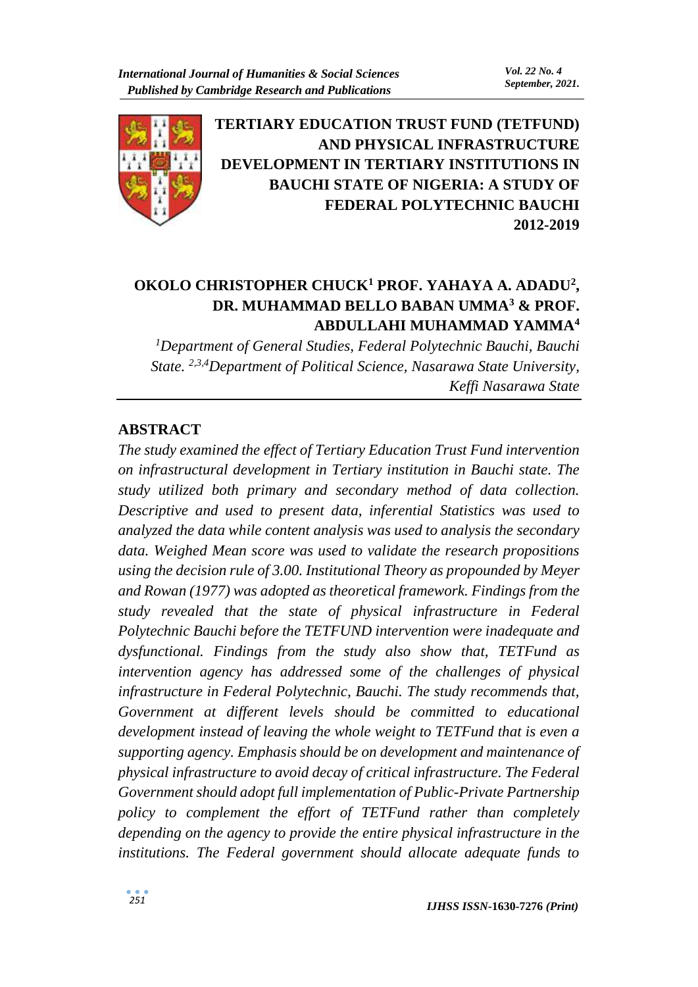

**TERTIARY EDUCATION TRUST FUND (TETFUND) AND PHYSICAL INFRASTRUCTURE DEVELOPMENT IN TERTIARY INSTITUTIONS IN BAUCHI STATE OF NIGERIA: A STUDY OF FEDERAL POLYTECHNIC BAUCHI 2012-2019**

# **OKOLO CHRISTOPHER CHUCK<sup>1</sup> PROF. YAHAYA A. ADADU<sup>2</sup> , DR. MUHAMMAD BELLO BABAN UMMA<sup>3</sup> & PROF. ABDULLAHI MUHAMMAD YAMMA<sup>4</sup>**

*<sup>1</sup>Department of General Studies, Federal Polytechnic Bauchi, Bauchi State. 2,3,4Department of Political Science, Nasarawa State University, Keffi Nasarawa State*

## **ABSTRACT**

*The study examined the effect of Tertiary Education Trust Fund intervention on infrastructural development in Tertiary institution in Bauchi state. The study utilized both primary and secondary method of data collection. Descriptive and used to present data, inferential Statistics was used to analyzed the data while content analysis was used to analysis the secondary data. Weighed Mean score was used to validate the research propositions using the decision rule of 3.00. Institutional Theory as propounded by Meyer and Rowan (1977) was adopted as theoretical framework. Findings from the study revealed that the state of physical infrastructure in Federal Polytechnic Bauchi before the TETFUND intervention were inadequate and dysfunctional. Findings from the study also show that, TETFund as intervention agency has addressed some of the challenges of physical infrastructure in Federal Polytechnic, Bauchi. The study recommends that,*  Government at different levels should be committed to educational *development instead of leaving the whole weight to TETFund that is even a supporting agency. Emphasis should be on development and maintenance of physical infrastructure to avoid decay of critical infrastructure. The Federal Government should adopt full implementation of Public-Private Partnership policy to complement the effort of TETFund rather than completely depending on the agency to provide the entire physical infrastructure in the institutions. The Federal government should allocate adequate funds to*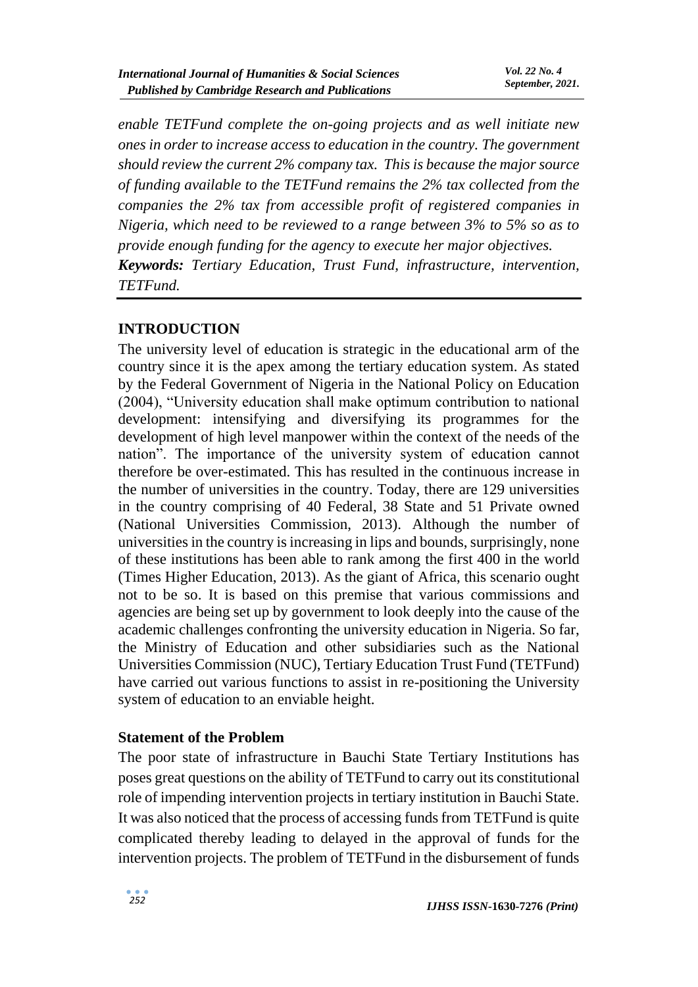*enable TETFund complete the on-going projects and as well initiate new ones in order to increase access to education in the country. The government should review the current 2% company tax. This is because the major source of funding available to the TETFund remains the 2% tax collected from the companies the 2% tax from accessible profit of registered companies in Nigeria, which need to be reviewed to a range between 3% to 5% so as to provide enough funding for the agency to execute her major objectives. Keywords: Tertiary Education, Trust Fund, infrastructure, intervention, TETFund.*

#### **INTRODUCTION**

The university level of education is strategic in the educational arm of the country since it is the apex among the tertiary education system. As stated by the Federal Government of Nigeria in the National Policy on Education (2004), "University education shall make optimum contribution to national development: intensifying and diversifying its programmes for the development of high level manpower within the context of the needs of the nation". The importance of the university system of education cannot therefore be over-estimated. This has resulted in the continuous increase in the number of universities in the country. Today, there are 129 universities in the country comprising of 40 Federal, 38 State and 51 Private owned (National Universities Commission, 2013). Although the number of universities in the country is increasing in lips and bounds, surprisingly, none of these institutions has been able to rank among the first 400 in the world (Times Higher Education, 2013). As the giant of Africa, this scenario ought not to be so. It is based on this premise that various commissions and agencies are being set up by government to look deeply into the cause of the academic challenges confronting the university education in Nigeria. So far, the Ministry of Education and other subsidiaries such as the National Universities Commission (NUC), Tertiary Education Trust Fund (TETFund) have carried out various functions to assist in re-positioning the University system of education to an enviable height.

#### **Statement of the Problem**

The poor state of infrastructure in Bauchi State Tertiary Institutions has poses great questions on the ability of TETFund to carry out its constitutional role of impending intervention projects in tertiary institution in Bauchi State. It was also noticed that the process of accessing funds from TETFund is quite complicated thereby leading to delayed in the approval of funds for the intervention projects. The problem of TETFund in the disbursement of funds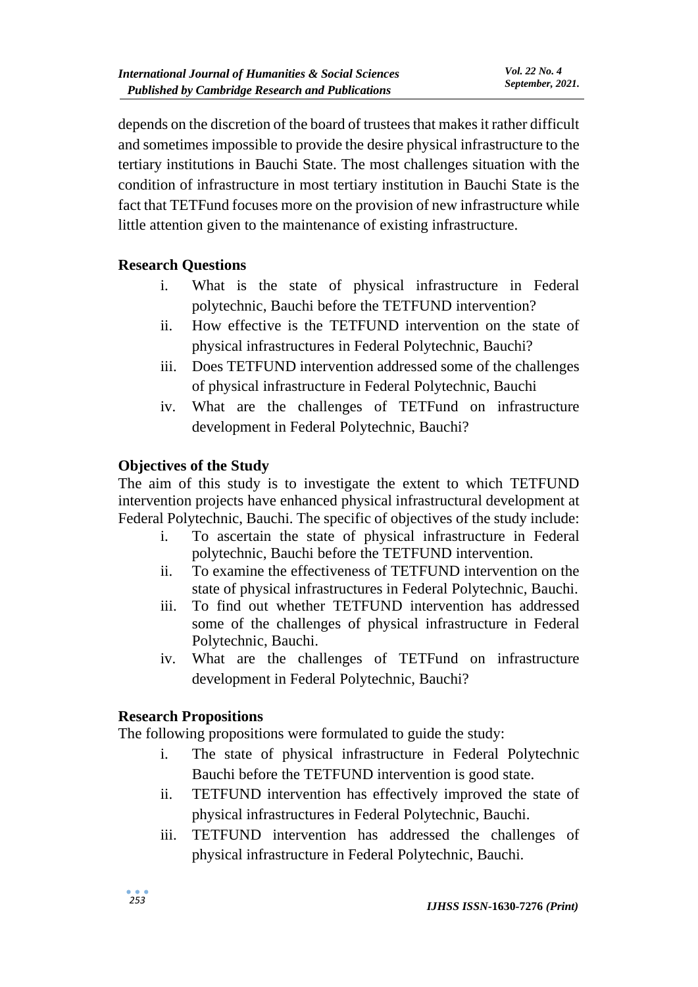depends on the discretion of the board of trustees that makes it rather difficult and sometimes impossible to provide the desire physical infrastructure to the tertiary institutions in Bauchi State. The most challenges situation with the condition of infrastructure in most tertiary institution in Bauchi State is the fact that TETFund focuses more on the provision of new infrastructure while little attention given to the maintenance of existing infrastructure.

## **Research Questions**

- i. What is the state of physical infrastructure in Federal polytechnic, Bauchi before the TETFUND intervention?
- ii. How effective is the TETFUND intervention on the state of physical infrastructures in Federal Polytechnic, Bauchi?
- iii. Does TETFUND intervention addressed some of the challenges of physical infrastructure in Federal Polytechnic, Bauchi
- iv. What are the challenges of TETFund on infrastructure development in Federal Polytechnic, Bauchi?

## **Objectives of the Study**

The aim of this study is to investigate the extent to which TETFUND intervention projects have enhanced physical infrastructural development at Federal Polytechnic, Bauchi. The specific of objectives of the study include:

- i. To ascertain the state of physical infrastructure in Federal polytechnic, Bauchi before the TETFUND intervention.
- ii. To examine the effectiveness of TETFUND intervention on the state of physical infrastructures in Federal Polytechnic, Bauchi.
- iii. To find out whether TETFUND intervention has addressed some of the challenges of physical infrastructure in Federal Polytechnic, Bauchi.
- iv. What are the challenges of TETFund on infrastructure development in Federal Polytechnic, Bauchi?

### **Research Propositions**

The following propositions were formulated to guide the study:

- i. The state of physical infrastructure in Federal Polytechnic Bauchi before the TETFUND intervention is good state.
- ii. TETFUND intervention has effectively improved the state of physical infrastructures in Federal Polytechnic, Bauchi.
- iii. TETFUND intervention has addressed the challenges of physical infrastructure in Federal Polytechnic, Bauchi.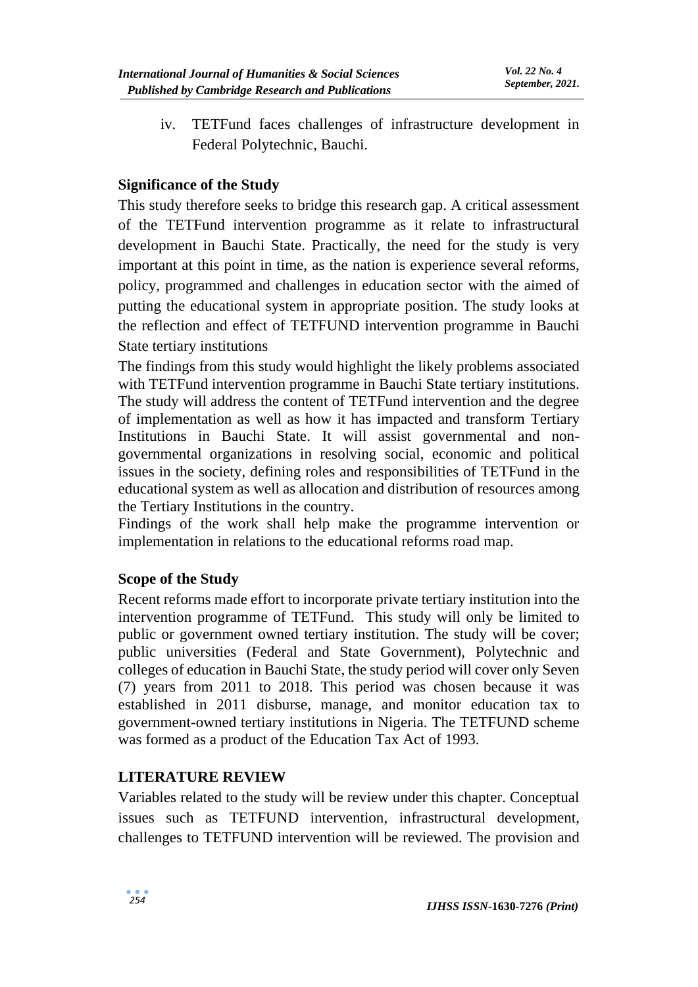iv. TETFund faces challenges of infrastructure development in Federal Polytechnic, Bauchi.

## **Significance of the Study**

This study therefore seeks to bridge this research gap. A critical assessment of the TETFund intervention programme as it relate to infrastructural development in Bauchi State. Practically, the need for the study is very important at this point in time, as the nation is experience several reforms, policy, programmed and challenges in education sector with the aimed of putting the educational system in appropriate position. The study looks at the reflection and effect of TETFUND intervention programme in Bauchi State tertiary institutions

The findings from this study would highlight the likely problems associated with TETFund intervention programme in Bauchi State tertiary institutions. The study will address the content of TETFund intervention and the degree of implementation as well as how it has impacted and transform Tertiary Institutions in Bauchi State. It will assist governmental and nongovernmental organizations in resolving social, economic and political issues in the society, defining roles and responsibilities of TETFund in the educational system as well as allocation and distribution of resources among the Tertiary Institutions in the country.

Findings of the work shall help make the programme intervention or implementation in relations to the educational reforms road map.

### **Scope of the Study**

Recent reforms made effort to incorporate private tertiary institution into the intervention programme of TETFund. This study will only be limited to public or government owned tertiary institution. The study will be cover; public universities (Federal and State Government), Polytechnic and colleges of education in Bauchi State, the study period will cover only Seven (7) years from 2011 to 2018. This period was chosen because it was established in 2011 disburse, manage, and monitor education tax to government-owned tertiary institutions in Nigeria. The TETFUND scheme was formed as a product of the Education Tax Act of 1993.

## **LITERATURE REVIEW**

Variables related to the study will be review under this chapter. Conceptual issues such as TETFUND intervention, infrastructural development, challenges to TETFUND intervention will be reviewed. The provision and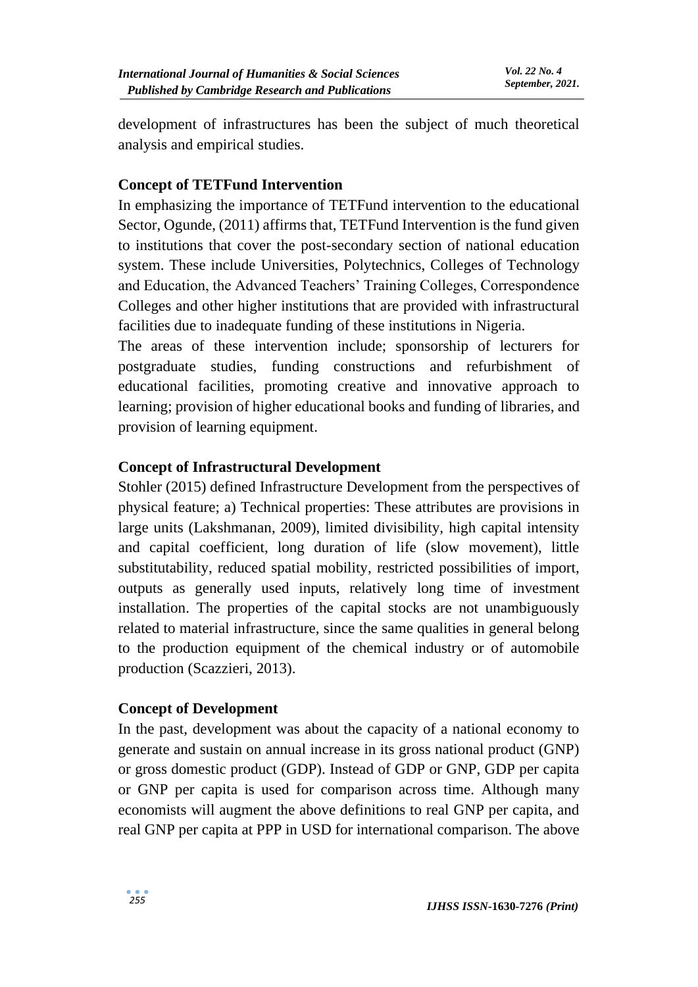development of infrastructures has been the subject of much theoretical analysis and empirical studies.

## **Concept of TETFund Intervention**

In emphasizing the importance of TETFund intervention to the educational Sector, Ogunde, (2011) affirms that, TETFund Intervention is the fund given to institutions that cover the post-secondary section of national education system. These include Universities, Polytechnics, Colleges of Technology and Education, the Advanced Teachers' Training Colleges, Correspondence Colleges and other higher institutions that are provided with infrastructural facilities due to inadequate funding of these institutions in Nigeria.

The areas of these intervention include; sponsorship of lecturers for postgraduate studies, funding constructions and refurbishment of educational facilities, promoting creative and innovative approach to learning; provision of higher educational books and funding of libraries, and provision of learning equipment.

## **Concept of Infrastructural Development**

Stohler (2015) defined Infrastructure Development from the perspectives of physical feature; a) Technical properties: These attributes are provisions in large units (Lakshmanan, 2009), limited divisibility, high capital intensity and capital coefficient, long duration of life (slow movement), little substitutability, reduced spatial mobility, restricted possibilities of import, outputs as generally used inputs, relatively long time of investment installation. The properties of the capital stocks are not unambiguously related to material infrastructure, since the same qualities in general belong to the production equipment of the chemical industry or of automobile production (Scazzieri, 2013).

### **Concept of Development**

In the past, development was about the capacity of a national economy to generate and sustain on annual increase in its gross national product (GNP) or gross domestic product (GDP). Instead of GDP or GNP, GDP per capita or GNP per capita is used for comparison across time. Although many economists will augment the above definitions to real GNP per capita, and real GNP per capita at PPP in USD for international comparison. The above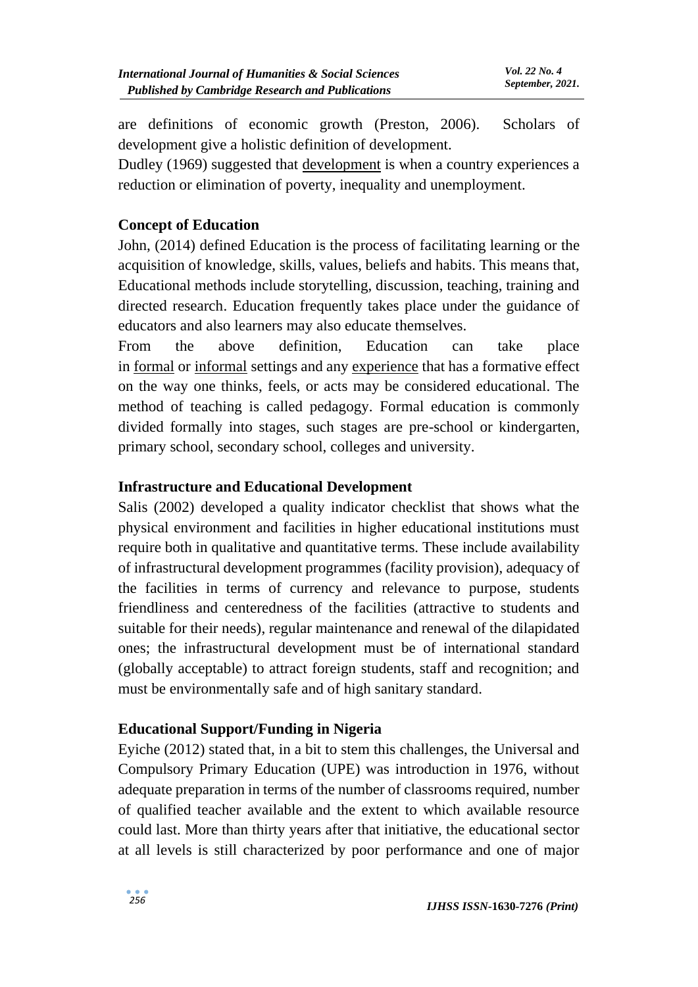are definitions of economic growth (Preston, 2006). Scholars of development give a holistic definition of development.

Dudley (1969) suggested that development is when a country experiences a reduction or elimination of poverty, inequality and unemployment.

## **Concept of Education**

John, (2014) defined Education is the process of facilitating learning or the acquisition of knowledge, skills, values, beliefs and habits. This means that, Educational methods include storytelling, discussion, teaching, training and directed research. Education frequently takes place under the guidance of educators and also learners may also educate themselves.

From the above definition, Education can take place in [formal](https://en.wikipedia.org/wiki/Formality) or [informal](https://en.wikipedia.org/wiki/Informal_education) settings and any [experience](https://en.wikipedia.org/wiki/Experience) that has a formative effect on the way one thinks, feels, or acts may be considered educational. The method of teaching is called pedagogy. Formal education is commonly divided formally into stages, such stages are pre-school or kindergarten, primary school, secondary school, colleges and university.

## **Infrastructure and Educational Development**

Salis (2002) developed a quality indicator checklist that shows what the physical environment and facilities in higher educational institutions must require both in qualitative and quantitative terms. These include availability of infrastructural development programmes (facility provision), adequacy of the facilities in terms of currency and relevance to purpose, students friendliness and centeredness of the facilities (attractive to students and suitable for their needs), regular maintenance and renewal of the dilapidated ones; the infrastructural development must be of international standard (globally acceptable) to attract foreign students, staff and recognition; and must be environmentally safe and of high sanitary standard.

### **Educational Support/Funding in Nigeria**

Eyiche (2012) stated that, in a bit to stem this challenges, the Universal and Compulsory Primary Education (UPE) was introduction in 1976, without adequate preparation in terms of the number of classrooms required, number of qualified teacher available and the extent to which available resource could last. More than thirty years after that initiative, the educational sector at all levels is still characterized by poor performance and one of major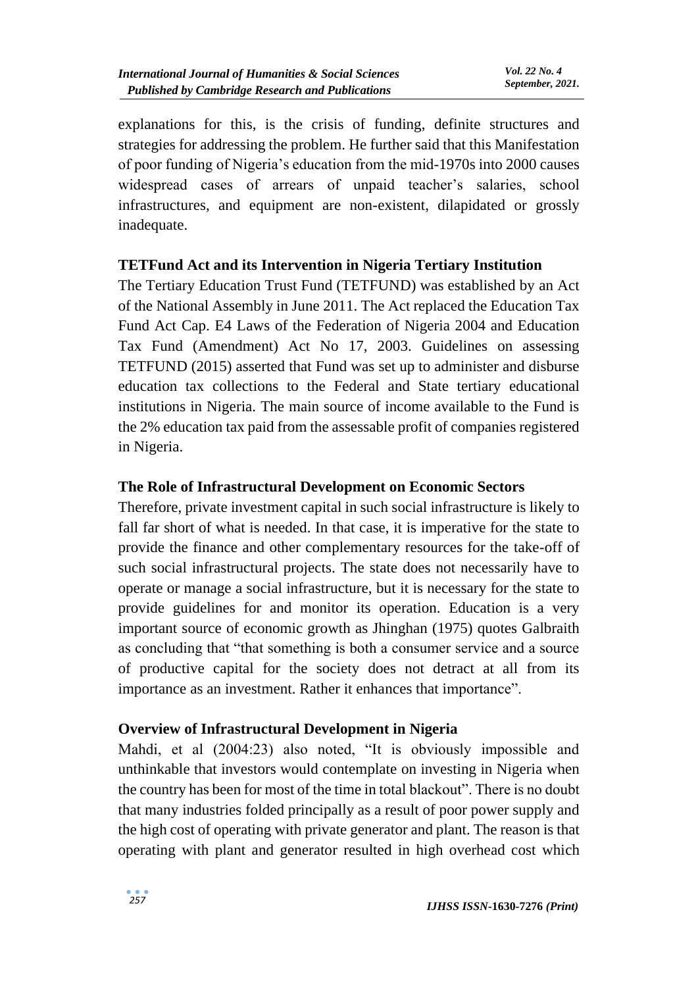explanations for this, is the crisis of funding, definite structures and strategies for addressing the problem. He further said that this Manifestation of poor funding of Nigeria's education from the mid-1970s into 2000 causes widespread cases of arrears of unpaid teacher's salaries, school infrastructures, and equipment are non-existent, dilapidated or grossly inadequate.

## **TETFund Act and its Intervention in Nigeria Tertiary Institution**

The Tertiary Education Trust Fund (TETFUND) was established by an Act of the National Assembly in June 2011. The Act replaced the Education Tax Fund Act Cap. E4 Laws of the Federation of Nigeria 2004 and Education Tax Fund (Amendment) Act No 17, 2003. Guidelines on assessing TETFUND (2015) asserted that Fund was set up to administer and disburse education tax collections to the Federal and State tertiary educational institutions in Nigeria. The main source of income available to the Fund is the 2% education tax paid from the assessable profit of companies registered in Nigeria.

## **The Role of Infrastructural Development on Economic Sectors**

Therefore, private investment capital in such social infrastructure is likely to fall far short of what is needed. In that case, it is imperative for the state to provide the finance and other complementary resources for the take-off of such social infrastructural projects. The state does not necessarily have to operate or manage a social infrastructure, but it is necessary for the state to provide guidelines for and monitor its operation. Education is a very important source of economic growth as Jhinghan (1975) quotes Galbraith as concluding that "that something is both a consumer service and a source of productive capital for the society does not detract at all from its importance as an investment. Rather it enhances that importance".

### **Overview of Infrastructural Development in Nigeria**

Mahdi, et al (2004:23) also noted, "It is obviously impossible and unthinkable that investors would contemplate on investing in Nigeria when the country has been for most of the time in total blackout". There is no doubt that many industries folded principally as a result of poor power supply and the high cost of operating with private generator and plant. The reason is that operating with plant and generator resulted in high overhead cost which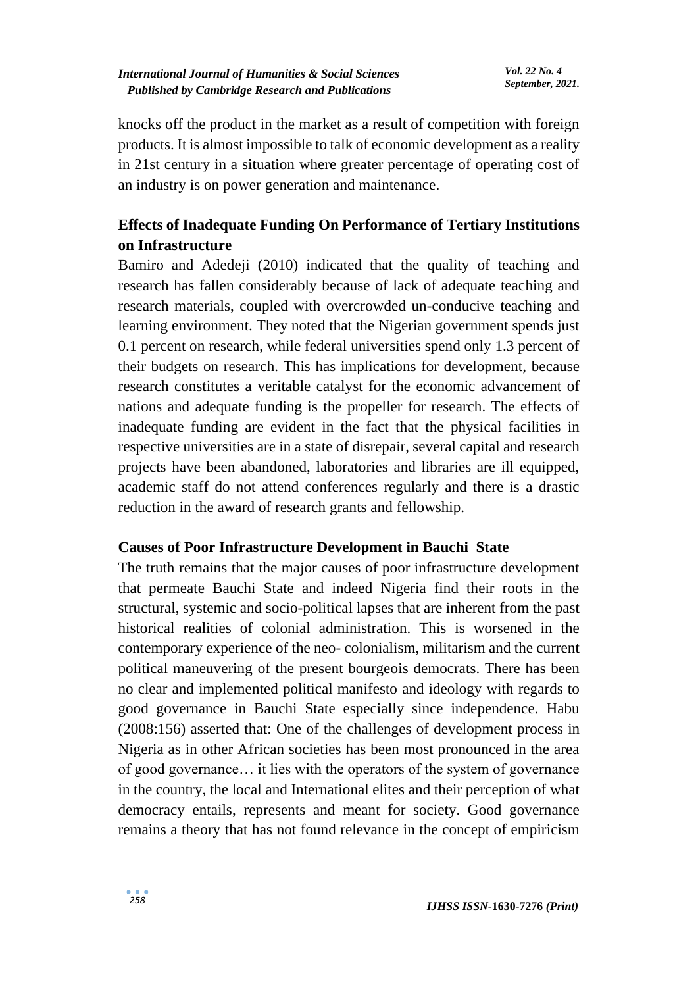knocks off the product in the market as a result of competition with foreign products. It is almost impossible to talk of economic development as a reality in 21st century in a situation where greater percentage of operating cost of an industry is on power generation and maintenance.

# **Effects of Inadequate Funding On Performance of Tertiary Institutions on Infrastructure**

Bamiro and Adedeji (2010) indicated that the quality of teaching and research has fallen considerably because of lack of adequate teaching and research materials, coupled with overcrowded un-conducive teaching and learning environment. They noted that the Nigerian government spends just 0.1 percent on research, while federal universities spend only 1.3 percent of their budgets on research. This has implications for development, because research constitutes a veritable catalyst for the economic advancement of nations and adequate funding is the propeller for research. The effects of inadequate funding are evident in the fact that the physical facilities in respective universities are in a state of disrepair, several capital and research projects have been abandoned, laboratories and libraries are ill equipped, academic staff do not attend conferences regularly and there is a drastic reduction in the award of research grants and fellowship.

### **Causes of Poor Infrastructure Development in Bauchi State**

The truth remains that the major causes of poor infrastructure development that permeate Bauchi State and indeed Nigeria find their roots in the structural, systemic and socio-political lapses that are inherent from the past historical realities of colonial administration. This is worsened in the contemporary experience of the neo- colonialism, militarism and the current political maneuvering of the present bourgeois democrats. There has been no clear and implemented political manifesto and ideology with regards to good governance in Bauchi State especially since independence. Habu (2008:156) asserted that: One of the challenges of development process in Nigeria as in other African societies has been most pronounced in the area of good governance… it lies with the operators of the system of governance in the country, the local and International elites and their perception of what democracy entails, represents and meant for society. Good governance remains a theory that has not found relevance in the concept of empiricism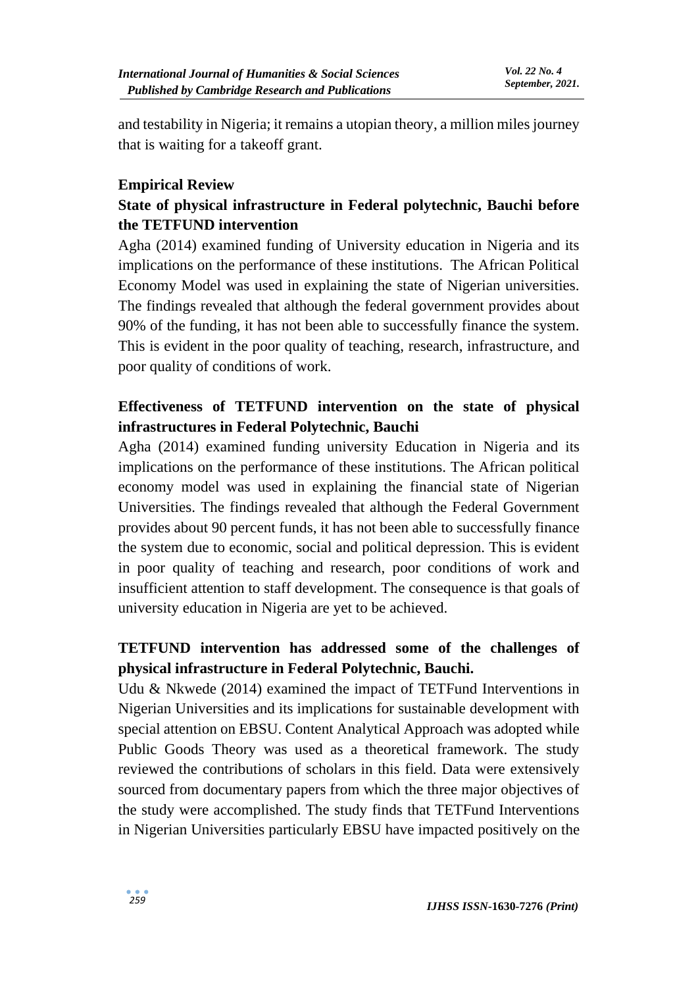and testability in Nigeria; it remains a utopian theory, a million miles journey that is waiting for a takeoff grant.

### **Empirical Review**

## **State of physical infrastructure in Federal polytechnic, Bauchi before the TETFUND intervention**

Agha (2014) examined funding of University education in Nigeria and its implications on the performance of these institutions. The African Political Economy Model was used in explaining the state of Nigerian universities. The findings revealed that although the federal government provides about 90% of the funding, it has not been able to successfully finance the system. This is evident in the poor quality of teaching, research, infrastructure, and poor quality of conditions of work.

# **Effectiveness of TETFUND intervention on the state of physical infrastructures in Federal Polytechnic, Bauchi**

Agha (2014) examined funding university Education in Nigeria and its implications on the performance of these institutions. The African political economy model was used in explaining the financial state of Nigerian Universities. The findings revealed that although the Federal Government provides about 90 percent funds, it has not been able to successfully finance the system due to economic, social and political depression. This is evident in poor quality of teaching and research, poor conditions of work and insufficient attention to staff development. The consequence is that goals of university education in Nigeria are yet to be achieved.

# **TETFUND intervention has addressed some of the challenges of physical infrastructure in Federal Polytechnic, Bauchi.**

Udu & Nkwede (2014) examined the impact of TETFund Interventions in Nigerian Universities and its implications for sustainable development with special attention on EBSU. Content Analytical Approach was adopted while Public Goods Theory was used as a theoretical framework. The study reviewed the contributions of scholars in this field. Data were extensively sourced from documentary papers from which the three major objectives of the study were accomplished. The study finds that TETFund Interventions in Nigerian Universities particularly EBSU have impacted positively on the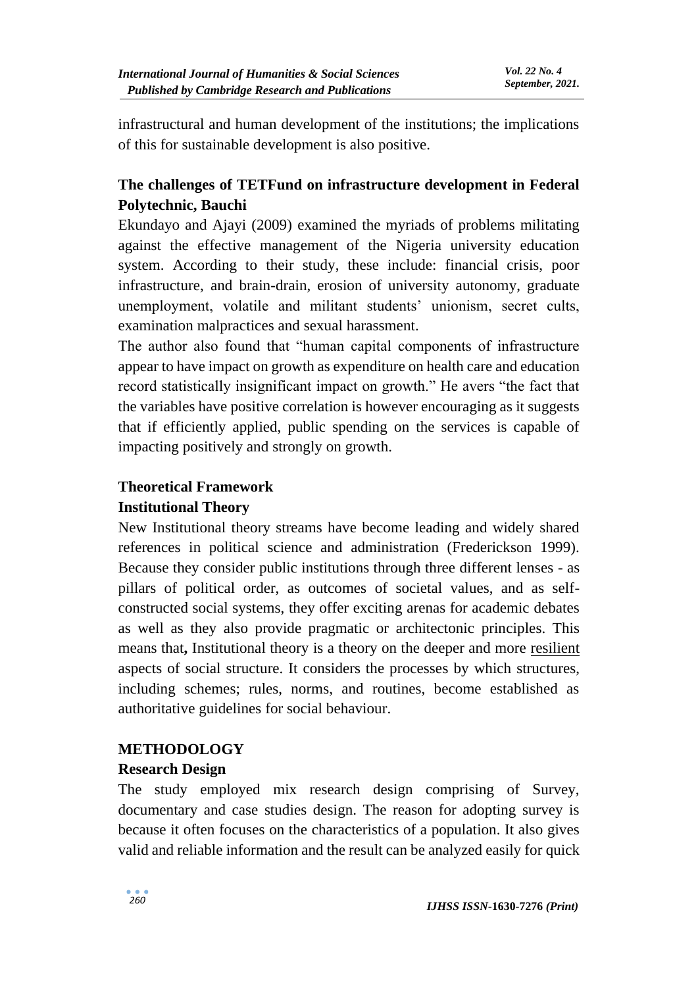infrastructural and human development of the institutions; the implications of this for sustainable development is also positive.

# **The challenges of TETFund on infrastructure development in Federal Polytechnic, Bauchi**

Ekundayo and Ajayi (2009) examined the myriads of problems militating against the effective management of the Nigeria university education system. According to their study, these include: financial crisis, poor infrastructure, and brain-drain, erosion of university autonomy, graduate unemployment, volatile and militant students' unionism, secret cults, examination malpractices and sexual harassment.

The author also found that "human capital components of infrastructure appear to have impact on growth as expenditure on health care and education record statistically insignificant impact on growth." He avers "the fact that the variables have positive correlation is however encouraging as it suggests that if efficiently applied, public spending on the services is capable of impacting positively and strongly on growth.

## **Theoretical Framework**

# **Institutional Theory**

New Institutional theory streams have become leading and widely shared references in political science and administration (Frederickson 1999). Because they consider public institutions through three different lenses - as pillars of political order, as outcomes of societal values, and as selfconstructed social systems, they offer exciting arenas for academic debates as well as they also provide pragmatic or architectonic principles. This means that**,** Institutional theory is a theory on the deeper and more [resilient](https://en.wikipedia.org/wiki/Resilience_%28organizational%29) aspects of social structure. It considers the processes by which structures, including schemes; rules, norms, and routines, become established as authoritative guidelines for social behaviour.

## **METHODOLOGY**

## **Research Design**

The study employed mix research design comprising of Survey, documentary and case studies design. The reason for adopting survey is because it often focuses on the characteristics of a population. It also gives valid and reliable information and the result can be analyzed easily for quick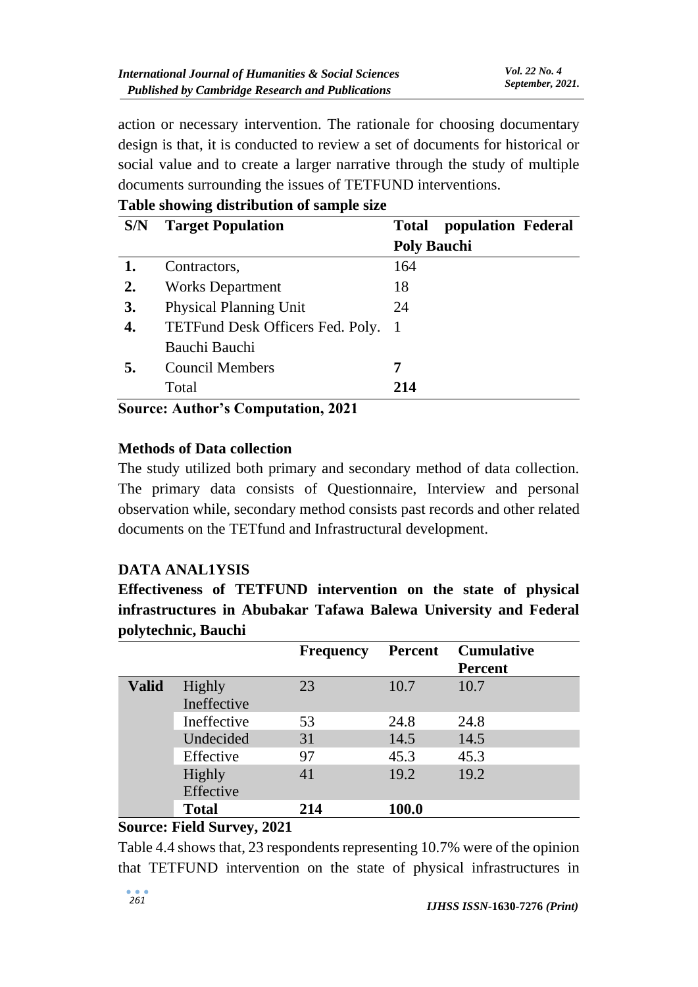action or necessary intervention. The rationale for choosing documentary design is that, it is conducted to review a set of documents for historical or social value and to create a larger narrative through the study of multiple documents surrounding the issues of TETFUND interventions.

| S/N | <b>Target Population</b>         | population Federal<br><b>Total</b> |  |  |
|-----|----------------------------------|------------------------------------|--|--|
|     |                                  | <b>Poly Bauchi</b>                 |  |  |
|     | Contractors,                     | 164                                |  |  |
| 2.  | <b>Works Department</b>          | 18                                 |  |  |
| 3.  | <b>Physical Planning Unit</b>    | 24                                 |  |  |
| 4.  | TETFund Desk Officers Fed. Poly. | -1                                 |  |  |
|     | Bauchi Bauchi                    |                                    |  |  |
| 5.  | <b>Council Members</b>           | 7                                  |  |  |
|     | Total                            | 214                                |  |  |

#### **Table showing distribution of sample size**

**Source: Author's Computation, 2021**

## **Methods of Data collection**

The study utilized both primary and secondary method of data collection. The primary data consists of Questionnaire, Interview and personal observation while, secondary method consists past records and other related documents on the TETfund and Infrastructural development.

## **DATA ANAL1YSIS**

**Effectiveness of TETFUND intervention on the state of physical infrastructures in Abubakar Tafawa Balewa University and Federal polytechnic, Bauchi**

|              |                       | <b>Frequency</b> | <b>Percent</b> | <b>Cumulative</b><br><b>Percent</b> |
|--------------|-----------------------|------------------|----------------|-------------------------------------|
| <b>Valid</b> | Highly<br>Ineffective | 23               | 10.7           | 10.7                                |
|              | Ineffective           | 53               | 24.8           | 24.8                                |
|              | Undecided             | 31               | 14.5           | 14.5                                |
|              | Effective             | 97               | 45.3           | 45.3                                |
|              | Highly                | 41               | 19.2           | 19.2                                |
|              | Effective             |                  |                |                                     |
|              | <b>Total</b>          | 214              | 100.0          |                                     |

## **Source: Field Survey, 2021**

Table 4.4 shows that, 23 respondents representing 10.7% were of the opinion that TETFUND intervention on the state of physical infrastructures in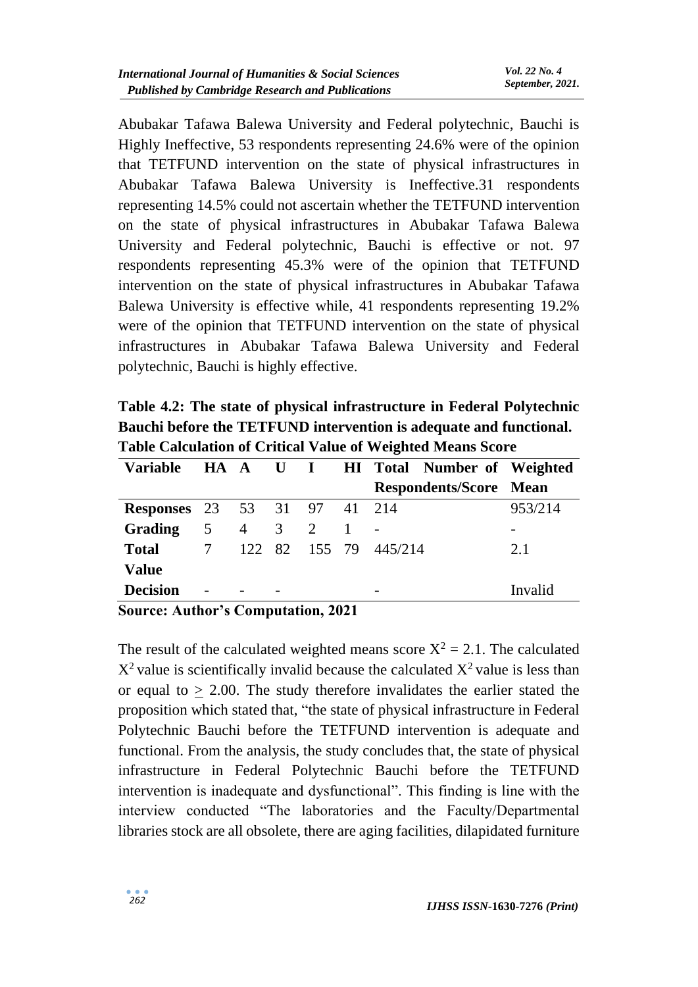Abubakar Tafawa Balewa University and Federal polytechnic, Bauchi is Highly Ineffective, 53 respondents representing 24.6% were of the opinion that TETFUND intervention on the state of physical infrastructures in Abubakar Tafawa Balewa University is Ineffective.31 respondents representing 14.5% could not ascertain whether the TETFUND intervention on the state of physical infrastructures in Abubakar Tafawa Balewa University and Federal polytechnic, Bauchi is effective or not. 97 respondents representing 45.3% were of the opinion that TETFUND intervention on the state of physical infrastructures in Abubakar Tafawa Balewa University is effective while, 41 respondents representing 19.2% were of the opinion that TETFUND intervention on the state of physical infrastructures in Abubakar Tafawa Balewa University and Federal polytechnic, Bauchi is highly effective.

**Table 4.2: The state of physical infrastructure in Federal Polytechnic Bauchi before the TETFUND intervention is adequate and functional. Table Calculation of Critical Value of Weighted Means Score** 

| <b>Variable</b>                     |                 |                |              |   | HA A U I HI Total Number of Weighted |         |
|-------------------------------------|-----------------|----------------|--------------|---|--------------------------------------|---------|
|                                     |                 |                |              |   | <b>Respondents/Score Mean</b>        |         |
| <b>Responses</b> 23 53 31 97 41 214 |                 |                |              |   |                                      | 953/214 |
| Grading                             | 5               | $\overline{4}$ | $\mathbf{3}$ | 2 |                                      |         |
| <b>Total</b>                        | $7\overline{ }$ |                |              |   | 122 82 155 79 445/214                | 2.1     |
| <b>Value</b>                        |                 |                |              |   |                                      |         |
| <b>Decision</b>                     |                 |                |              |   |                                      | Invalid |

**Source: Author's Computation, 2021**

The result of the calculated weighted means score  $X^2 = 2.1$ . The calculated  $X^2$  value is scientifically invalid because the calculated  $X^2$  value is less than or equal to  $> 2.00$ . The study therefore invalidates the earlier stated the proposition which stated that, "the state of physical infrastructure in Federal Polytechnic Bauchi before the TETFUND intervention is adequate and functional. From the analysis, the study concludes that, the state of physical infrastructure in Federal Polytechnic Bauchi before the TETFUND intervention is inadequate and dysfunctional". This finding is line with the interview conducted "The laboratories and the Faculty/Departmental libraries stock are all obsolete, there are aging facilities, dilapidated furniture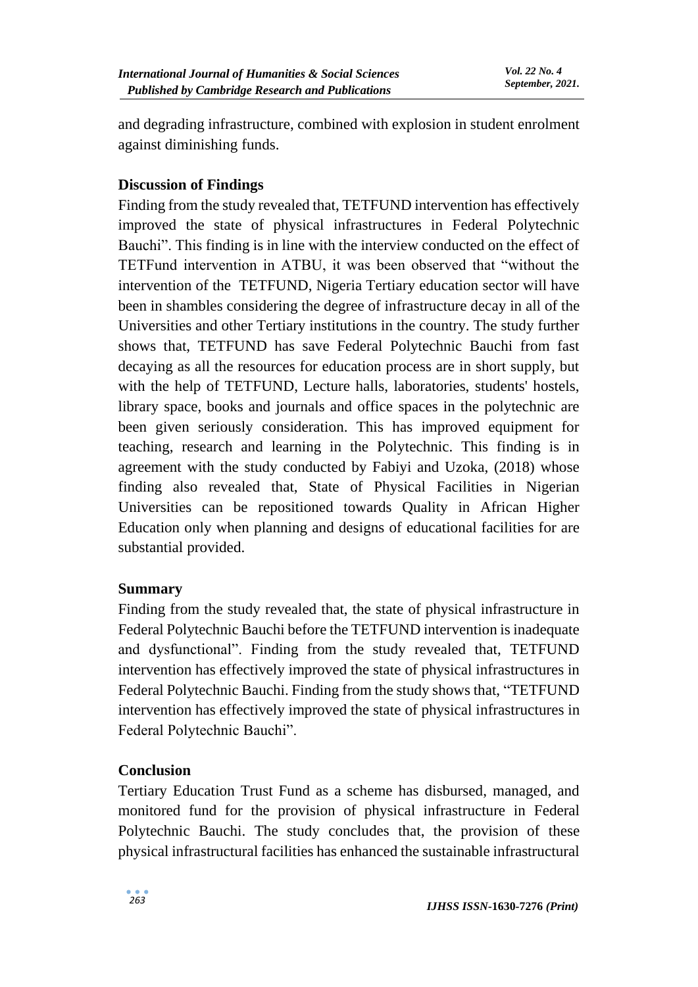and degrading infrastructure, combined with explosion in student enrolment against diminishing funds.

## **Discussion of Findings**

Finding from the study revealed that, TETFUND intervention has effectively improved the state of physical infrastructures in Federal Polytechnic Bauchi". This finding is in line with the interview conducted on the effect of TETFund intervention in ATBU, it was been observed that "without the intervention of the TETFUND, Nigeria Tertiary education sector will have been in shambles considering the degree of infrastructure decay in all of the Universities and other Tertiary institutions in the country. The study further shows that, TETFUND has save Federal Polytechnic Bauchi from fast decaying as all the resources for education process are in short supply, but with the help of TETFUND, Lecture halls, laboratories, students' hostels, library space, books and journals and office spaces in the polytechnic are been given seriously consideration. This has improved equipment for teaching, research and learning in the Polytechnic. This finding is in agreement with the study conducted by Fabiyi and Uzoka, (2018) whose finding also revealed that, State of Physical Facilities in Nigerian Universities can be repositioned towards Quality in African Higher Education only when planning and designs of educational facilities for are substantial provided.

### **Summary**

Finding from the study revealed that, the state of physical infrastructure in Federal Polytechnic Bauchi before the TETFUND intervention is inadequate and dysfunctional". Finding from the study revealed that, TETFUND intervention has effectively improved the state of physical infrastructures in Federal Polytechnic Bauchi. Finding from the study shows that, "TETFUND intervention has effectively improved the state of physical infrastructures in Federal Polytechnic Bauchi".

### **Conclusion**

Tertiary Education Trust Fund as a scheme has disbursed, managed, and monitored fund for the provision of physical infrastructure in Federal Polytechnic Bauchi. The study concludes that, the provision of these physical infrastructural facilities has enhanced the sustainable infrastructural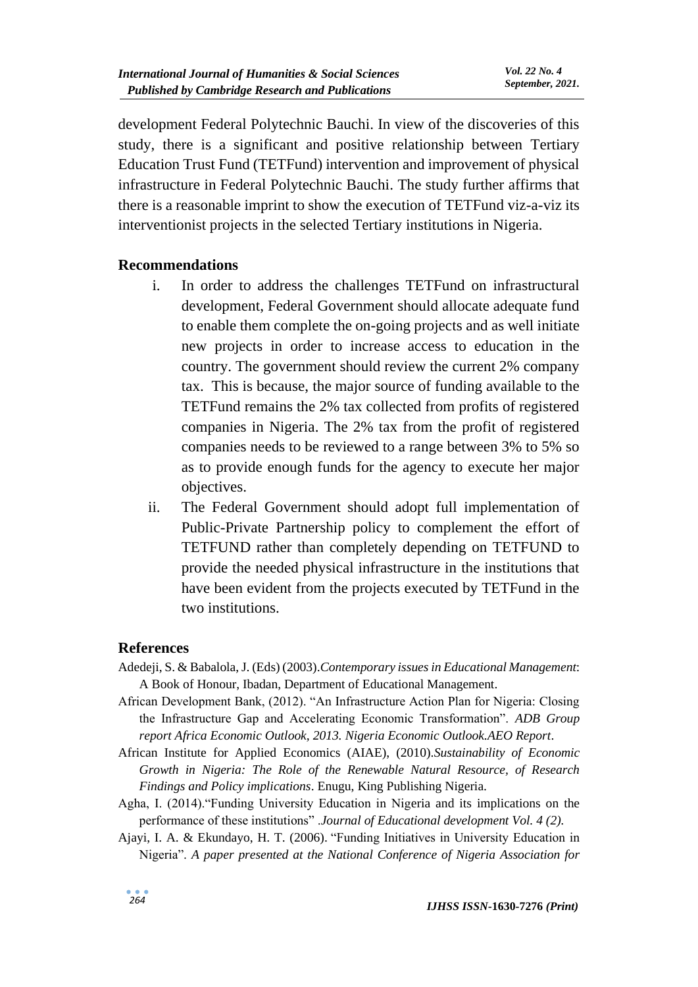development Federal Polytechnic Bauchi. In view of the discoveries of this study, there is a significant and positive relationship between Tertiary Education Trust Fund (TETFund) intervention and improvement of physical infrastructure in Federal Polytechnic Bauchi. The study further affirms that there is a reasonable imprint to show the execution of TETFund viz-a-viz its interventionist projects in the selected Tertiary institutions in Nigeria.

### **Recommendations**

- i. In order to address the challenges TETFund on infrastructural development, Federal Government should allocate adequate fund to enable them complete the on-going projects and as well initiate new projects in order to increase access to education in the country. The government should review the current 2% company tax. This is because, the major source of funding available to the TETFund remains the 2% tax collected from profits of registered companies in Nigeria. The 2% tax from the profit of registered companies needs to be reviewed to a range between 3% to 5% so as to provide enough funds for the agency to execute her major objectives.
- ii. The Federal Government should adopt full implementation of Public-Private Partnership policy to complement the effort of TETFUND rather than completely depending on TETFUND to provide the needed physical infrastructure in the institutions that have been evident from the projects executed by TETFund in the two institutions.

#### **References**

- Adedeji, S. & Babalola, J. (Eds) (2003).*Contemporary issues in Educational Management*: A Book of Honour, Ibadan, Department of Educational Management.
- African Development Bank, (2012). "An Infrastructure Action Plan for Nigeria: Closing the Infrastructure Gap and Accelerating Economic Transformation". *ADB Group report Africa Economic Outlook, 2013. Nigeria Economic Outlook.AEO Report*.
- African Institute for Applied Economics (AIAE), (2010).*Sustainability of Economic Growth in Nigeria: The Role of the Renewable Natural Resource, of Research Findings and Policy implications*. Enugu, King Publishing Nigeria.
- Agha, I. (2014)."Funding University Education in Nigeria and its implications on the performance of these institutions" .*Journal of Educational development Vol. 4 (2).*
- Ajayi, I. A. & Ekundayo, H. T. (2006). "Funding Initiatives in University Education in Nigeria". *A paper presented at the National Conference of Nigeria Association for*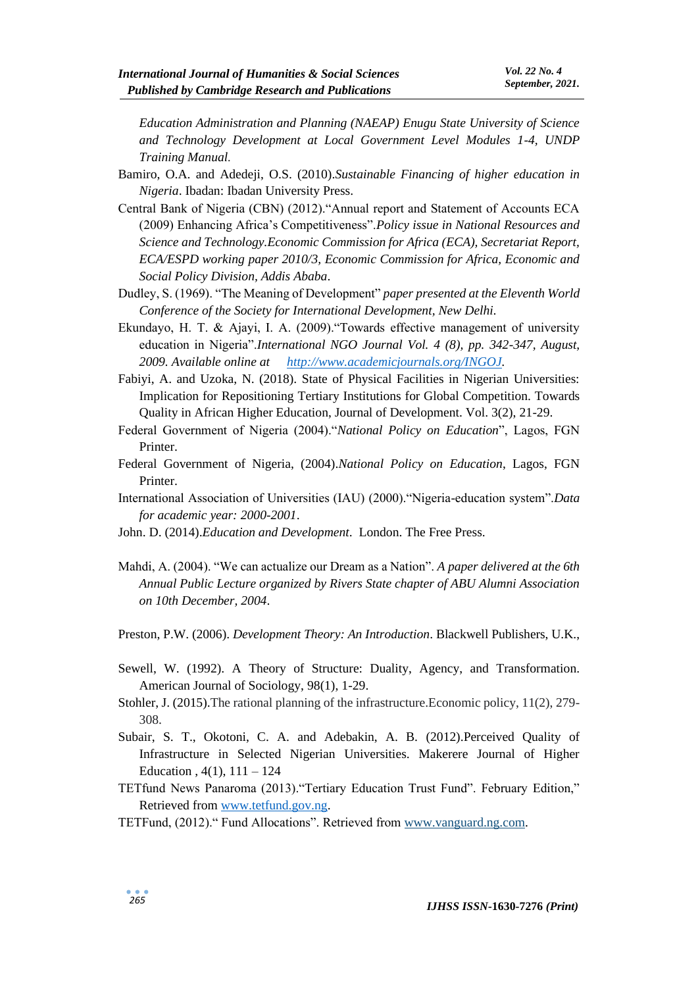*Education Administration and Planning (NAEAP) Enugu State University of Science and Technology Development at Local Government Level Modules 1-4, UNDP Training Manual.*

- Bamiro, O.A. and Adedeji, O.S. (2010).*Sustainable Financing of higher education in Nigeria*. Ibadan: Ibadan University Press.
- Central Bank of Nigeria (CBN) (2012)."Annual report and Statement of Accounts ECA (2009) Enhancing Africa's Competitiveness".*Policy issue in National Resources and Science and Technology.Economic Commission for Africa (ECA), Secretariat Report, ECA/ESPD working paper 2010/3, Economic Commission for Africa, Economic and Social Policy Division, Addis Ababa*.
- Dudley, S. (1969). "The Meaning of Development" *paper presented at the Eleventh World Conference of the Society for International Development, New Delhi.*
- Ekundayo, H. T. & Ajayi, I. A. (2009)."Towards effective management of university education in Nigeria".*International NGO Journal Vol. 4 (8), pp. 342-347, August, 2009. Available online at [http://www.academicjournals.org/INGOJ.](http://www.academicjournals.org/INGOJ)*
- Fabiyi, A. and Uzoka, N. (2018). State of Physical Facilities in Nigerian Universities: Implication for Repositioning Tertiary Institutions for Global Competition. Towards Quality in African Higher Education, Journal of Development. Vol. 3(2), 21-29.
- Federal Government of Nigeria (2004)."*National Policy on Education*", Lagos, FGN Printer.
- Federal Government of Nigeria, (2004).*National Policy on Education*, Lagos, FGN Printer.
- International Association of Universities (IAU) (2000)."Nigeria-education system".*Data for academic year: 2000-2001*.
- John. D. (2014).*Education and Development*. London. The Free Press.
- Mahdi, A. (2004). "We can actualize our Dream as a Nation". *A paper delivered at the 6th Annual Public Lecture organized by Rivers State chapter of ABU Alumni Association on 10th December, 2004*.
- Preston, P.W. (2006). *Development Theory: An Introduction*. Blackwell Publishers, U.K.,
- Sewell, W. (1992). A Theory of Structure: Duality, Agency, and Transformation. American Journal of Sociology, 98(1), 1-29.
- Stohler, J. (2015).The rational planning of the infrastructure.Economic policy, 11(2), 279- 308.
- Subair, S. T., Okotoni, C. A. and Adebakin, A. B. (2012).Perceived Quality of Infrastructure in Selected Nigerian Universities. Makerere Journal of Higher Education ,  $4(1)$ ,  $111 - 124$
- TETfund News Panaroma (2013)."Tertiary Education Trust Fund". February Edition," Retrieved from [www.tetfund.gov.ng.](http://www.tetfund.gov.ng/)
- TETFund, (2012)." Fund Allocations". Retrieved from [www.vanguard.ng.com.](http://www.vanguard.ng.com/)